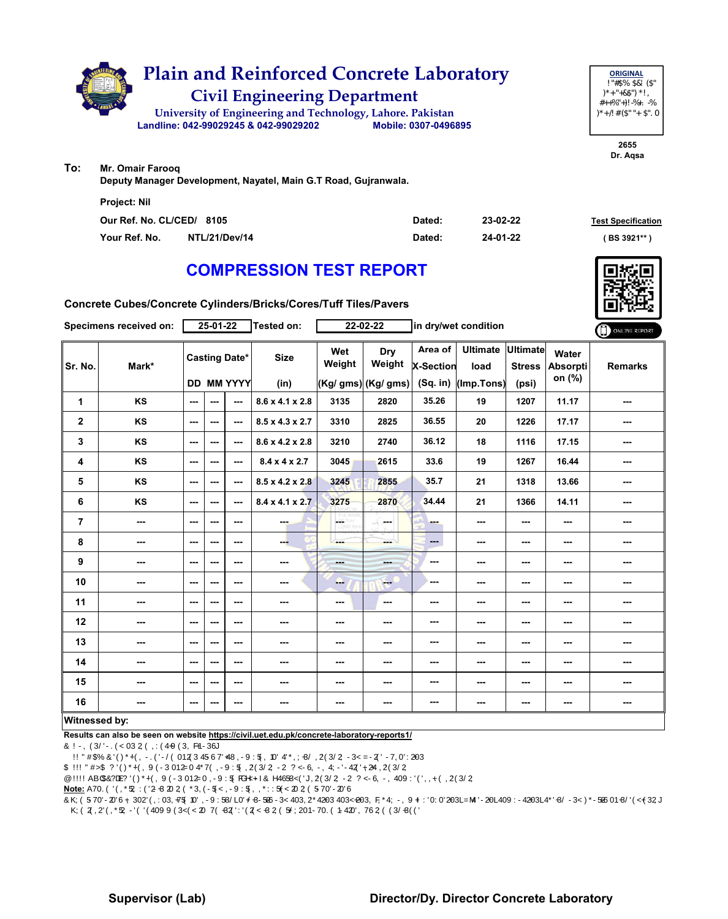

**2655 Dr. Aqsa**

**To: Mr. Omair Farooq**

**Deputy Manager Development, Nayatel, Main G.T Road, Gujranwala.**

| <b>Project: Nil</b>       |               |        |          |                           |
|---------------------------|---------------|--------|----------|---------------------------|
| Our Ref. No. CL/CED/ 8105 |               | Dated: | 23-02-22 | <b>Test Specification</b> |
| Your Ref. No.             | NTL/21/Dev/14 | Dated: | 24-01-22 | ( BS 3921** )             |

## **COMPRESSION TEST REPORT**



**Concrete Cubes/Concrete Cylinders/Bricks/Cores/Tuff Tiles/Pavers**

|                | Specimens received on:   |                          | 25-01-22 |                          | Tested on:                  |               | 22-02-22            |                             | in dry/wet condition    |                                  |                          | ONLINE REPORT  |
|----------------|--------------------------|--------------------------|----------|--------------------------|-----------------------------|---------------|---------------------|-----------------------------|-------------------------|----------------------------------|--------------------------|----------------|
| Sr. No.        | Mark*                    |                          |          | <b>Casting Date*</b>     | <b>Size</b>                 | Wet<br>Weight | Dry<br>Weight       | Area of<br><b>X-Section</b> | <b>Ultimate</b><br>load | <b>Ultimate</b><br><b>Stress</b> | Water<br><b>Absorpti</b> | <b>Remarks</b> |
|                |                          |                          |          | <b>DD MM YYYY</b>        | (in)                        |               | (Kg/ gms) (Kg/ gms) | (Sq. in)                    | (Imp.Tons)              | (psi)                            | on (%)                   |                |
| 1              | <b>KS</b>                | $\overline{\phantom{a}}$ | ---      | ---                      | $8.6 \times 4.1 \times 2.8$ | 3135          | 2820                | 35.26                       | 19                      | 1207                             | 11.17                    | ---            |
| 2              | KS                       | $--$                     | ---      | ---                      | $8.5 \times 4.3 \times 2.7$ | 3310          | 2825                | 36.55                       | 20                      | 1226                             | 17.17                    | ---            |
| 3              | KS                       | $\overline{\phantom{a}}$ | $--$     | $\sim$                   | 8.6 x 4.2 x 2.8             | 3210          | 2740                | 36.12                       | 18                      | 1116                             | 17.15                    | ---            |
| 4              | KS                       | $\sim$ $\sim$            | ---      | ---                      | $8.4 \times 4 \times 2.7$   | 3045          | 2615                | 33.6                        | 19                      | 1267                             | 16.44                    | ---            |
| 5              | KS                       | $\overline{\phantom{a}}$ | ---      | $-$                      | $8.5 \times 4.2 \times 2.8$ | 3245          | 2855                | 35.7                        | 21                      | 1318                             | 13.66                    | ---            |
| 6              | KS                       | $\sim$                   | ---      | ---                      | $8.4 \times 4.1 \times 2.7$ | 3275          | 2870                | 34.44                       | 21                      | 1366                             | 14.11                    | ---            |
| $\overline{7}$ | $\cdots$                 | $--$                     | ---      | ---                      | ---                         | ÷<br>НÝ       | ومحادث              | ---                         | ---                     | $--$                             | ---                      | ---            |
| 8              | ---                      | $\overline{\phantom{a}}$ | ---      | $\overline{\phantom{a}}$ | --                          | ---           | ---                 | $\qquad \qquad \cdots$      | ---                     | $\overline{\phantom{a}}$         | ---                      | ---            |
| 9              | $\sim$                   | $\overline{\phantom{a}}$ | ---      | $--$                     | $\sim$                      | mana.         | ---                 | ---                         | ---                     | $\sim$ $\sim$                    | ---                      | ---            |
| 10             | $\overline{\phantom{a}}$ | $--$                     | ---      | ---                      | ---                         | --            | $-1$                | ---                         | ---                     | ---                              | ---                      |                |
| 11             | ---                      | $--$                     | ---      | $--$                     | ---                         | ---           | ---                 | ---                         | ---                     | ---                              | ---                      |                |
| 12             | $\sim$ $\sim$            | $\overline{\phantom{a}}$ | ---      | $--$                     | $\sim$                      | ---           | ---                 | ---                         | ---                     | $\overline{\phantom{a}}$         | ---                      | ---            |
| 13             | $\sim$ $\sim$            | $\overline{\phantom{a}}$ | ---      | ---                      | $\sim$                      | ---           | ---                 | ---                         | ---                     | $\overline{\phantom{a}}$         | ---                      | ---            |
| 14             | $\overline{\phantom{a}}$ | $--$                     | ---      | $--$                     | $\sim$                      | ---           | ---                 | ---                         | ---                     | ---                              | ---                      | ---            |
| 15             | $\overline{\phantom{a}}$ | $\overline{\phantom{a}}$ | $--$     | ---                      | $\sim$                      | ---           | ---                 | ---                         | ---                     | ---                              | ---                      | ---            |
| 16             | $\sim$ $\sim$            | $\sim$ $\sim$            | ---      | ---                      | ---                         | ---           | ---                 | ---                         | ---                     | ---                              | ---                      | ---            |
| Witnessed by:  |                          |                          |          |                          |                             |               |                     |                             |                         |                                  |                          |                |

**Results can also be seen on website https://civil.uet.edu.pk/concrete-laboratory-reports1/**

1. \* as engraved on the specimens (if any)

2. \*\* BS3921 requires average of ten clay brick samples for crushing strength and water absorption

3. \*\*\* BS5328 requires mean of two cube sample strength at 28 days as characteristic strength

4. \*\*\*\* ACI318-08 requires mean of two sample (6"diax12" cylinder) strength at 28 days as comprerssive strength

**Note:** Above results pertain to the unsealed samples supplied to the laboratory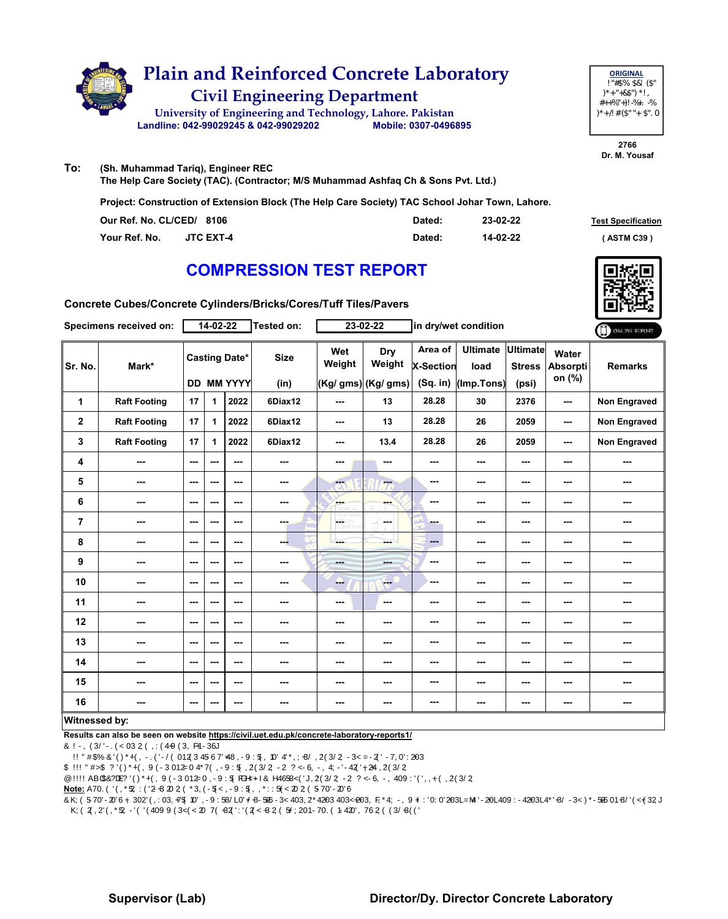

**2766 Dr. M. Yousaf**

**To: (Sh. Muhammad Tariq), Engineer REC The Help Care Society (TAC). (Contractor; M/S Muhammad Ashfaq Ch & Sons Pvt. Ltd.)**

**Project: Construction of Extension Block (The Help Care Society) TAC School Johar Town, Lahore.**

| Our Ref. No. CL/CED/ 8106 |                  | Dated: | 23-02-22 | <b>Test Specification</b> |
|---------------------------|------------------|--------|----------|---------------------------|
| Your Ref. No.             | <b>JTC EXT-4</b> | Dated: | 14-02-22 | (ASTM C39)                |

# **COMPRESSION TEST REPORT**



**Concrete Cubes/Concrete Cylinders/Bricks/Cores/Tuff Tiles/Pavers**

|                | <b>Specimens received on:</b> |         | 14-02-22     |                                           | Tested on:          |                          | 23-02-22                             |                                         | in dry/wet condition                    |                          |                                    | ONLINE REPORT       |
|----------------|-------------------------------|---------|--------------|-------------------------------------------|---------------------|--------------------------|--------------------------------------|-----------------------------------------|-----------------------------------------|--------------------------|------------------------------------|---------------------|
| Sr. No.        | Mark*                         |         |              | <b>Casting Date*</b><br><b>DD MM YYYY</b> | <b>Size</b><br>(in) | Wet<br>Weight            | Dry<br>Weight<br>(Kg/ gms) (Kg/ gms) | Area of<br><b>X-Section</b><br>(Sq. in) | Ultimate Ultimate<br>load<br>(Imp.Tons) | <b>Stress</b><br>(psi)   | Water<br><b>Absorpti</b><br>on (%) | <b>Remarks</b>      |
| 1              | <b>Raft Footing</b>           | 17      | 1            | 2022                                      | 6Diax12             | $\overline{\phantom{a}}$ | 13                                   | 28.28                                   | 30                                      | 2376                     | ---                                | <b>Non Engraved</b> |
| $\mathbf 2$    | <b>Raft Footing</b>           | 17      | $\mathbf{1}$ | 2022                                      | 6Diax12             | $\overline{\phantom{a}}$ | 13                                   | 28.28                                   | 26                                      | 2059                     | $\cdots$                           | Non Engraved        |
| 3              | <b>Raft Footing</b>           | 17      | 1            | 2022                                      | 6Diax12             | ---                      | 13.4                                 | 28.28                                   | 26                                      | 2059                     | ---                                | Non Engraved        |
| 4              | ---                           | ---     | ---          | $- - -$                                   | ---                 | $\overline{\phantom{a}}$ | ---                                  | ---                                     | ---                                     | $\sim$                   | ---                                | ---                 |
| 5              | ---                           | $- - -$ | ---          | $- - -$                                   | ---                 | ---                      | ---                                  | ---                                     | ---                                     | $- - -$                  | ---                                | ---                 |
| 6              | ---                           | ---     | ---          | ---                                       | ---                 | ---                      | ---                                  | ---                                     | ---                                     | $\sim$                   | ---                                | ---                 |
| $\overline{7}$ | ---                           | $--$    | ---          | $--$                                      | ---                 | ÷<br>w                   | ---                                  | ---                                     | ---                                     | $--$                     | ---                                | ---                 |
| 8              | ---                           | $--$    | ---          | ---                                       | ---                 | ---                      | ---                                  | $\qquad \qquad \cdots$                  | $--$                                    | $\overline{\phantom{a}}$ | ---                                | ---                 |
| 9              | ---                           | ---     | ---          | $--$                                      | ---                 | <b>Hotel</b>             | ---                                  | ---                                     | ---                                     | ---                      | ---                                |                     |
| 10             | ---                           | $--$    | $--$         | $--$                                      |                     | -                        | <b>Fee</b>                           | ---                                     | ---                                     | $--$                     | ---                                | ---                 |
| 11             | ---                           | $--$    | ---          | $--$                                      |                     | $\overline{\phantom{a}}$ | ---                                  | ---                                     | ---                                     | ---                      | ---                                | ---                 |
| 12             | ---                           | ---     | ---          | ---                                       |                     | ---                      | ---                                  | ---                                     | ---                                     | ---                      | ---                                |                     |
| 13             | ---                           | ---     | $--$         | $--$                                      | ---                 | ---                      | ---                                  | ---                                     | ---                                     | ---                      | ---                                | ---                 |
| 14             | ---                           | ---     | ---          | $--$                                      | ---                 | ---                      | ---                                  | ---                                     | ---                                     | $\cdots$                 | ---                                | ---                 |
| 15             | ---                           | ---     | ---          | ---                                       | ---                 | ---                      | ---                                  | ---                                     | ---                                     | $\sim$                   | ---                                | ---                 |
| 16             | ---                           | ---     | ---          | ---                                       | ---                 | ---                      | ---                                  | ---                                     | ---                                     | ---                      | ---                                | ---                 |
| Witnessed by:  |                               |         |              |                                           |                     |                          |                                      |                                         |                                         |                          |                                    |                     |

### **Witnessed by:**

**Results can also be seen on website https://civil.uet.edu.pk/concrete-laboratory-reports1/**

1. \* as engraved on the specimens (if any)

2. \*\* BS3921 requires average of ten clay brick samples for crushing strength and water absorption

3. \*\*\* BS5328 requires mean of two cube sample strength at 28 days as characteristic strength

4. \*\*\*\* ACI318-08 requires mean of two sample (6"diax12" cylinder) strength at 28 days as comprerssive strength

**Note:** Above results pertain to the unsealed samples supplied to the laboratory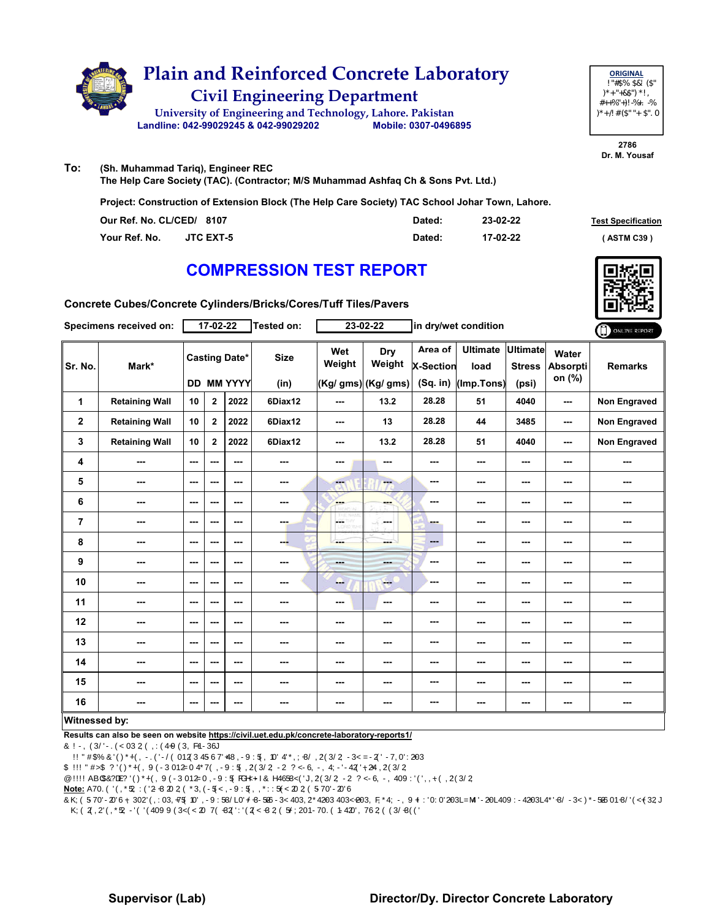

**2786 Dr. M. Yousaf**

**To: (Sh. Muhammad Tariq), Engineer REC The Help Care Society (TAC). (Contractor; M/S Muhammad Ashfaq Ch & Sons Pvt. Ltd.)**

**Project: Construction of Extension Block (The Help Care Society) TAC School Johar Town, Lahore.**

| Our Ref. No. CL/CED/ 8107 |                  | Dated: | 23-02-22 | <b>Test Specification</b> |
|---------------------------|------------------|--------|----------|---------------------------|
| Your Ref. No.             | <b>JTC EXT-5</b> | Dated: | 17-02-22 | <b>ASTM C39)</b>          |

# **COMPRESSION TEST REPORT**



**Concrete Cubes/Concrete Cylinders/Bricks/Cores/Tuff Tiles/Pavers**

|                  | <b>Specimens received on:</b> |         | 17-02-22       |                                           | Tested on:          |                           | 23-02-22                             |                                         | in dry/wet condition                    |                          |                                    | ONLINE REPORT       |
|------------------|-------------------------------|---------|----------------|-------------------------------------------|---------------------|---------------------------|--------------------------------------|-----------------------------------------|-----------------------------------------|--------------------------|------------------------------------|---------------------|
| Sr. No.          | Mark*                         |         |                | <b>Casting Date*</b><br><b>DD MM YYYY</b> | <b>Size</b><br>(in) | Wet<br>Weight             | Dry<br>Weight<br>(Kg/ gms) (Kg/ gms) | Area of<br><b>X-Section</b><br>(Sq. in) | Ultimate Ultimate<br>load<br>(Imp.Tons) | <b>Stress</b><br>(psi)   | Water<br><b>Absorpti</b><br>on (%) | <b>Remarks</b>      |
| 1                | <b>Retaining Wall</b>         | 10      | $\mathbf{2}$   | 2022                                      | 6Diax12             | $\overline{\phantom{a}}$  | 13.2                                 | 28.28                                   | 51                                      | 4040                     | ---                                | Non Engraved        |
| $\mathbf 2$      | <b>Retaining Wall</b>         | 10      | $\overline{2}$ | 2022                                      | 6Diax12             | $\overline{\phantom{a}}$  | 13                                   | 28.28                                   | 44                                      | 3485                     | ---                                | <b>Non Engraved</b> |
| 3                | <b>Retaining Wall</b>         | 10      | $\overline{2}$ | 2022                                      | 6Diax12             | ---                       | 13.2                                 | 28.28                                   | 51                                      | 4040                     | $\overline{\phantom{a}}$           | Non Engraved        |
| 4                | ---                           | ---     | ---            | ---                                       | ---                 | $\overline{\phantom{a}}$  | ---                                  | ---                                     | ---                                     | $--$                     | ---                                | ---                 |
| 5                | ---                           | ---     | ---            | ---                                       | ---                 | ---                       | --                                   | ---                                     | ---                                     | ---                      | ---                                | ---                 |
| 6                | ---                           | ---     | $--$           | ---                                       | ---                 | <b>Albert</b><br>20223-71 | ---                                  | ---                                     | ---                                     | $\overline{\phantom{a}}$ | ---                                | ---                 |
| $\overline{7}$   | ---                           | $- - -$ | ---            | $- - -$                                   | ---                 | ÷<br>w                    | la sua                               | ---                                     | ---                                     | $\sim$ $\sim$            | ---                                | ---                 |
| 8                | ---                           | ---     | $--$           | $--$                                      | ---                 | ---                       | ---                                  | ---                                     | $--$                                    | $\sim$                   | ---                                | ---                 |
| $\boldsymbol{9}$ | ---                           | $- - -$ | ---            | $- - -$                                   | ---                 | <b>STAR</b>               | ---                                  | ---                                     | ---                                     | ---                      | ---                                | ---                 |
| 10               | ---                           | ---     | $--$           | ---                                       |                     | ---                       | $-1$                                 | ---                                     | $--$                                    | ---                      | ---                                | ---                 |
| 11               | ---                           | $--$    | ---            | ---                                       | ---                 | $\overline{\phantom{a}}$  | ---                                  | ---                                     | ---                                     | ---                      | ---                                |                     |
| 12               | ---                           | ---     | ---            | ---                                       | ---                 | ---                       | ---                                  | ---                                     | ---                                     | ---                      | ---                                | ---                 |
| 13               | ---                           | $--$    | ---            | ---                                       | ---                 | ---                       | ---                                  | ---                                     | ---                                     | ---                      | ---                                | ---                 |
| 14               | ---                           | $--$    | ---            | $--$                                      |                     | ---                       | ---                                  | ---                                     | ---                                     | $\overline{\phantom{a}}$ | ---                                |                     |
| 15               | ---                           | ---     | ---            | ---                                       | ---                 | ---                       | ---                                  | ---                                     | ---                                     | ---                      | ---                                |                     |
| 16               |                               | ---     | ---            | ---                                       | ---                 | ---                       | ---                                  | ---                                     | ---                                     | ---                      | ---                                | ---                 |
| Witnessed by:    |                               |         |                |                                           |                     |                           |                                      |                                         |                                         |                          |                                    |                     |

### **Witnessed by:**

**Results can also be seen on website https://civil.uet.edu.pk/concrete-laboratory-reports1/**

1. \* as engraved on the specimens (if any)

2. \*\* BS3921 requires average of ten clay brick samples for crushing strength and water absorption

3. \*\*\* BS5328 requires mean of two cube sample strength at 28 days as characteristic strength

4. \*\*\*\* ACI318-08 requires mean of two sample (6"diax12" cylinder) strength at 28 days as comprerssive strength

**Note:** Above results pertain to the unsealed samples supplied to the laboratory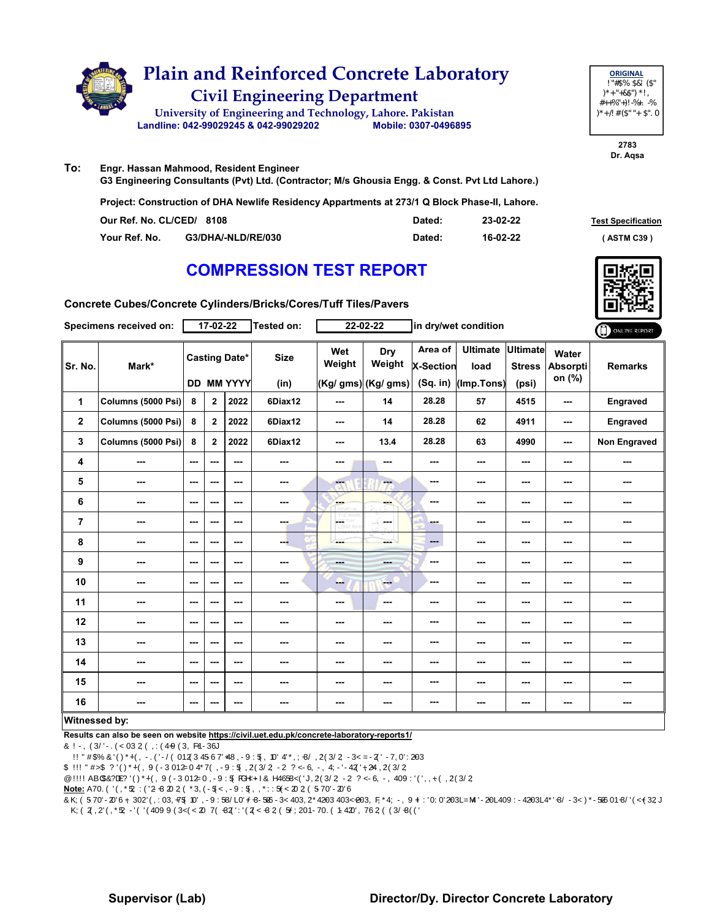

> **2783 Dr. Aqsa**

**To: Engr. Hassan Mahmood, Resident Engineer G3 Engineering Consultants (Pvt) Ltd. (Contractor; M/s Ghousia Engg. & Const. Pvt Ltd Lahore.)**

**Project: Construction of DHA Newlife Residency Appartments at 273/1 Q Block Phase-II, Lahore.**

| Our Ref. No. CL/CED/ 8108 |                    | Dated: | 23-02-22 | <b>Test Specification</b> |
|---------------------------|--------------------|--------|----------|---------------------------|
| Your Ref. No.             | G3/DHA/-NLD/RE/030 | Dated: | 16-02-22 | ASTM C39 '                |

# **COMPRESSION TEST REPORT**

**Concrete Cubes/Concrete Cylinders/Bricks/Cores/Tuff Tiles/Pavers**

|                | Specimens received on: |               | $17 - 02 - 22$ |                                           | Tested on:               |                          | 22-02-22                              |                                           | in dry/wet condition                  |                                           |                                    | ONLINE REPORT            |
|----------------|------------------------|---------------|----------------|-------------------------------------------|--------------------------|--------------------------|---------------------------------------|-------------------------------------------|---------------------------------------|-------------------------------------------|------------------------------------|--------------------------|
| Sr. No.        | Mark*                  |               |                | <b>Casting Date*</b><br><b>DD MM YYYY</b> | <b>Size</b><br>(in)      | Wet<br>Weight            | Dry<br>Weight<br>$(Kg/gms)$ (Kg/ gms) | Area of<br><b>X-Section</b><br>$(Sq.$ in) | <b>Ultimate</b><br>load<br>(Imp.Tons) | <b>Ultimate</b><br><b>Stress</b><br>(psi) | Water<br><b>Absorpti</b><br>on (%) | <b>Remarks</b>           |
| 1              | Columns (5000 Psi)     | 8             | $\mathbf{2}$   | 2022                                      | 6Diax12                  | $\overline{\phantom{a}}$ | 14                                    | 28.28                                     | 57                                    | 4515                                      | $\overline{\phantom{a}}$           | Engraved                 |
| $\mathbf{2}$   | Columns (5000 Psi)     | 8             | $\mathbf{2}$   | 2022                                      | 6Diax12                  | ---                      | 14                                    | 28.28                                     | 62                                    | 4911                                      | ---                                | Engraved                 |
| 3              | Columns (5000 Psi)     | 8             | $\mathbf{2}$   | 2022                                      | 6Diax12                  | ---                      | 13.4                                  | 28.28                                     | 63                                    | 4990                                      | ---                                | <b>Non Engraved</b>      |
| 4              | ---                    | ---           | ---            | ---                                       | ---                      | ---                      | ---                                   | ---                                       | ---                                   | $--$                                      | ---                                | $\sim$ $\sim$            |
| 5              | ---                    | ---           | ---            | ---                                       | $\overline{\phantom{a}}$ | <b>Fee</b>               | ---                                   | ---                                       | ---                                   | $--$                                      | ---                                | ---                      |
| 6              | ---                    | ---           | ---            | ---                                       | $\cdots$                 | <b>SHOP</b><br>2227 APS  | ---                                   | ---                                       | ---                                   | $--$                                      | ---                                | ---                      |
| $\overline{7}$ | ---                    | $\sim$ $\sim$ | ---            | $--$                                      | ---                      | <b>LOSTHY</b>            | in men                                | ---                                       | ---                                   | $--$                                      | ---                                | ---                      |
| 8              | ---                    | ---           | ---            | ---                                       | ---                      | ---                      | ---                                   | ---                                       | ---                                   | ---                                       | ---                                | $\overline{\phantom{a}}$ |
| 9              | ---                    | ---           | ---            | ---                                       | ---                      | <b>House</b>             | and in                                | ---                                       | ---                                   | ---                                       | ---                                | ---                      |
| 10             | ---                    | $\sim$ $\sim$ | ---            | $--$                                      | ---                      | --                       | $-$                                   | ---                                       | ---                                   | ---                                       | ---                                | ---                      |
| 11             | ---                    | ---           | ---            | ---                                       | ---                      | ---                      | ---                                   | ---                                       | ---                                   | ---                                       | ---                                | ---                      |
| 12             | ---                    | $\sim$ $\sim$ | ---            | $- - -$                                   | ---                      | ---                      | ---                                   | ---                                       | ---                                   | ---                                       | ---                                | ---                      |
| 13             | ---                    | $\sim$ $\sim$ | ---            | $- - -$                                   | $\sim$                   | ---                      | ---                                   | ---                                       | ---                                   | ---                                       | ---                                | ---                      |
| 14             | ---                    | $--$          | ---            | $--$                                      | $\cdots$                 | ---                      | ---                                   | ---                                       | ---                                   | ---                                       | ---                                | ---                      |
| 15             | ---                    | ---           | ---            | ---                                       | ---                      | ---                      | ---                                   | ---                                       | ---                                   | ---                                       | ---                                | ---                      |
| 16             | $-$                    | ---           | ---            | $\overline{\phantom{a}}$                  | ---                      | ---                      | ---                                   | ---                                       | ---                                   | ---                                       | ---                                | ---                      |
| Witnessed by:  |                        |               |                |                                           |                          |                          |                                       |                                           |                                       |                                           |                                    |                          |

**Results can also be seen on website https://civil.uet.edu.pk/concrete-laboratory-reports1/**

1. \* as engraved on the specimens (if any)

2. \*\* BS3921 requires average of ten clay brick samples for crushing strength and water absorption

3. \*\*\* BS5328 requires mean of two cube sample strength at 28 days as characteristic strength

4. \*\*\*\* ACI318-08 requires mean of two sample (6"diax12" cylinder) strength at 28 days as comprerssive strength

**Note:** Above results pertain to the unsealed samples supplied to the laboratory